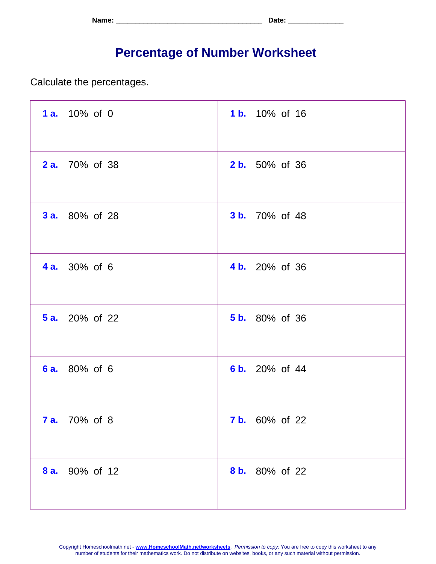| Name: | <b>. ה+הר</b><br>. Jalu - |
|-------|---------------------------|
|-------|---------------------------|

## **Percentage of Number Worksheet**

Calculate the percentages.

| 1 a. 10% of 0         | <b>1b.</b> 10% of 16  |
|-----------------------|-----------------------|
| <b>2 a.</b> 70% of 38 | <b>2 b.</b> 50% of 36 |
| <b>3 a.</b> 80% of 28 | <b>3 b.</b> 70% of 48 |
| <b>4 a.</b> 30% of 6  | 4 b. 20% of 36        |
| <b>5 a.</b> 20% of 22 | <b>5 b.</b> 80% of 36 |
| 6 a. 80% of 6         | 6 b. 20% of 44        |
| <b>7 a.</b> 70% of 8  | <b>7 b.</b> 60% of 22 |
| 8 a. 90% of 12        | 8 b. 80% of 22        |